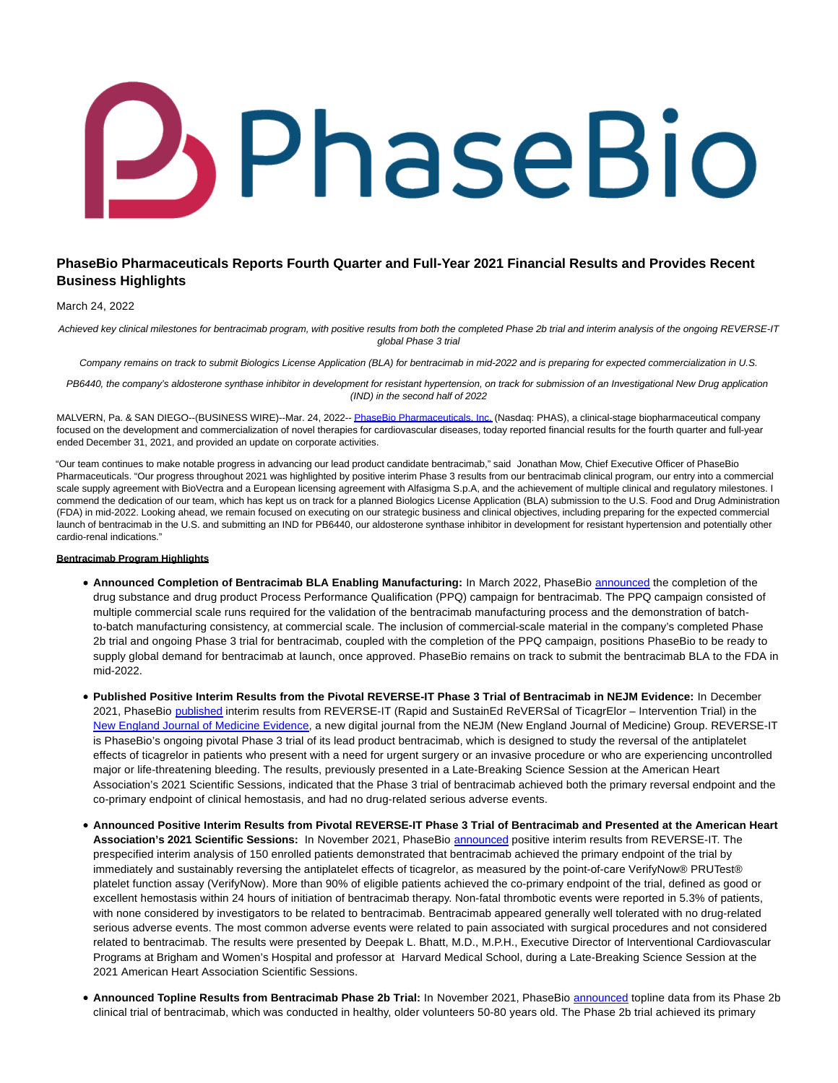# **J** PhaseBio

# **PhaseBio Pharmaceuticals Reports Fourth Quarter and Full-Year 2021 Financial Results and Provides Recent Business Highlights**

#### March 24, 2022

Achieved key clinical milestones for bentracimab program, with positive results from both the completed Phase 2b trial and interim analysis of the ongoing REVERSE-IT global Phase 3 trial

Company remains on track to submit Biologics License Application (BLA) for bentracimab in mid-2022 and is preparing for expected commercialization in U.S.

PB6440, the company's aldosterone synthase inhibitor in development for resistant hypertension, on track for submission of an Investigational New Drug application (IND) in the second half of 2022

MALVERN, Pa. & SAN DIEGO--(BUSINESS WIRE)--Mar. 24, 2022-[- PhaseBio Pharmaceuticals, Inc. \(](https://cts.businesswire.com/ct/CT?id=smartlink&url=https%3A%2F%2Fphasebio.com%2F&esheet=52621649&newsitemid=20220324005879&lan=en-US&anchor=PhaseBio+Pharmaceuticals%2C+Inc.&index=1&md5=d37fcb7ac025549874c4737c19d7ca17)Nasdaq: PHAS), a clinical-stage biopharmaceutical company focused on the development and commercialization of novel therapies for cardiovascular diseases, today reported financial results for the fourth quarter and full-year ended December 31, 2021, and provided an update on corporate activities.

"Our team continues to make notable progress in advancing our lead product candidate bentracimab," said Jonathan Mow, Chief Executive Officer of PhaseBio Pharmaceuticals. "Our progress throughout 2021 was highlighted by positive interim Phase 3 results from our bentracimab clinical program, our entry into a commercial scale supply agreement with BioVectra and a European licensing agreement with Alfasigma S.p.A, and the achievement of multiple clinical and regulatory milestones. I commend the dedication of our team, which has kept us on track for a planned Biologics License Application (BLA) submission to the U.S. Food and Drug Administration (FDA) in mid-2022. Looking ahead, we remain focused on executing on our strategic business and clinical objectives, including preparing for the expected commercial launch of bentracimab in the U.S. and submitting an IND for PB6440, our aldosterone synthase inhibitor in development for resistant hypertension and potentially other cardio-renal indications."

#### **Bentracimab Program Highlights**

- **Announced Completion of Bentracimab BLA Enabling Manufacturing:** In March 2022, PhaseBio [announced t](https://cts.businesswire.com/ct/CT?id=smartlink&url=https%3A%2F%2Finvestors.phasebio.com%2Fnews-releases%2Fnews-release-details%2Fphasebio-pharmaceuticals-announces-bentracimab-manufacturing&esheet=52621649&newsitemid=20220324005879&lan=en-US&anchor=announced&index=2&md5=9bb052d29454439cf350035f6d8a7d7b)he completion of the drug substance and drug product Process Performance Qualification (PPQ) campaign for bentracimab. The PPQ campaign consisted of multiple commercial scale runs required for the validation of the bentracimab manufacturing process and the demonstration of batchto-batch manufacturing consistency, at commercial scale. The inclusion of commercial-scale material in the company's completed Phase 2b trial and ongoing Phase 3 trial for bentracimab, coupled with the completion of the PPQ campaign, positions PhaseBio to be ready to supply global demand for bentracimab at launch, once approved. PhaseBio remains on track to submit the bentracimab BLA to the FDA in mid-2022.
- **Published Positive Interim Results from the Pivotal REVERSE-IT Phase 3 Trial of Bentracimab in NEJM Evidence:** In December 2021, PhaseBio [published i](https://cts.businesswire.com/ct/CT?id=smartlink&url=https%3A%2F%2Finvestors.phasebio.com%2Fnews-releases%2Fnews-release-details%2Fphasebio-announces-publication-interim-results-pivotal-reverse&esheet=52621649&newsitemid=20220324005879&lan=en-US&anchor=published&index=3&md5=8de0a61186fd4dfa1443994b2c91ae30)nterim results from REVERSE-IT (Rapid and SustainEd ReVERSal of TicagrElor – Intervention Trial) in the [New England Journal of Medicine Evidence,](https://cts.businesswire.com/ct/CT?id=smartlink&url=https%3A%2F%2Fevidence.nejm.org%2Fpb-assets%2Fevidence-site%2Fcontent%2FEVIDoa2100047-1638377642183.pdf&esheet=52621649&newsitemid=20220324005879&lan=en-US&anchor=New+England+Journal+of+Medicine+Evidence&index=4&md5=d80699151f25261eac0302743987b5d2) a new digital journal from the NEJM (New England Journal of Medicine) Group. REVERSE-IT is PhaseBio's ongoing pivotal Phase 3 trial of its lead product bentracimab, which is designed to study the reversal of the antiplatelet effects of ticagrelor in patients who present with a need for urgent surgery or an invasive procedure or who are experiencing uncontrolled major or life-threatening bleeding. The results, previously presented in a Late-Breaking Science Session at the American Heart Association's 2021 Scientific Sessions, indicated that the Phase 3 trial of bentracimab achieved both the primary reversal endpoint and the co-primary endpoint of clinical hemostasis, and had no drug-related serious adverse events.
- **Announced Positive Interim Results from Pivotal REVERSE-IT Phase 3 Trial of Bentracimab and Presented at the American Heart Association's 2021 Scientific Sessions:** In November 2021, PhaseBio [announced](https://cts.businesswire.com/ct/CT?id=smartlink&url=https%3A%2F%2Finvestors.phasebio.com%2Fnews-releases%2Fnews-release-details%2Fphasebio-announces-interim-results-pivotal-reverse-it-phase-3&esheet=52621649&newsitemid=20220324005879&lan=en-US&anchor=announced&index=5&md5=eeae4e308e2064aaef49db861b5c8006) positive interim results from REVERSE-IT. The prespecified interim analysis of 150 enrolled patients demonstrated that bentracimab achieved the primary endpoint of the trial by immediately and sustainably reversing the antiplatelet effects of ticagrelor, as measured by the point-of-care VerifyNow® PRUTest® platelet function assay (VerifyNow). More than 90% of eligible patients achieved the co-primary endpoint of the trial, defined as good or excellent hemostasis within 24 hours of initiation of bentracimab therapy. Non-fatal thrombotic events were reported in 5.3% of patients, with none considered by investigators to be related to bentracimab. Bentracimab appeared generally well tolerated with no drug-related serious adverse events. The most common adverse events were related to pain associated with surgical procedures and not considered related to bentracimab. The results were presented by Deepak L. Bhatt, M.D., M.P.H., Executive Director of Interventional Cardiovascular Programs at Brigham and Women's Hospital and professor at Harvard Medical School, during a Late-Breaking Science Session at the 2021 American Heart Association Scientific Sessions.
- **Announced Topline Results from Bentracimab Phase 2b Trial:** In November 2021, PhaseBio [announced t](https://cts.businesswire.com/ct/CT?id=smartlink&url=https%3A%2F%2Finvestors.phasebio.com%2Fnews-releases%2Fnews-release-details%2Fphasebio-announces-topline-results-phase-2b-trial-bentracimab&esheet=52621649&newsitemid=20220324005879&lan=en-US&anchor=announced&index=6&md5=5f9dcd429acd1a729287bd0e0f114036)opline data from its Phase 2b clinical trial of bentracimab, which was conducted in healthy, older volunteers 50-80 years old. The Phase 2b trial achieved its primary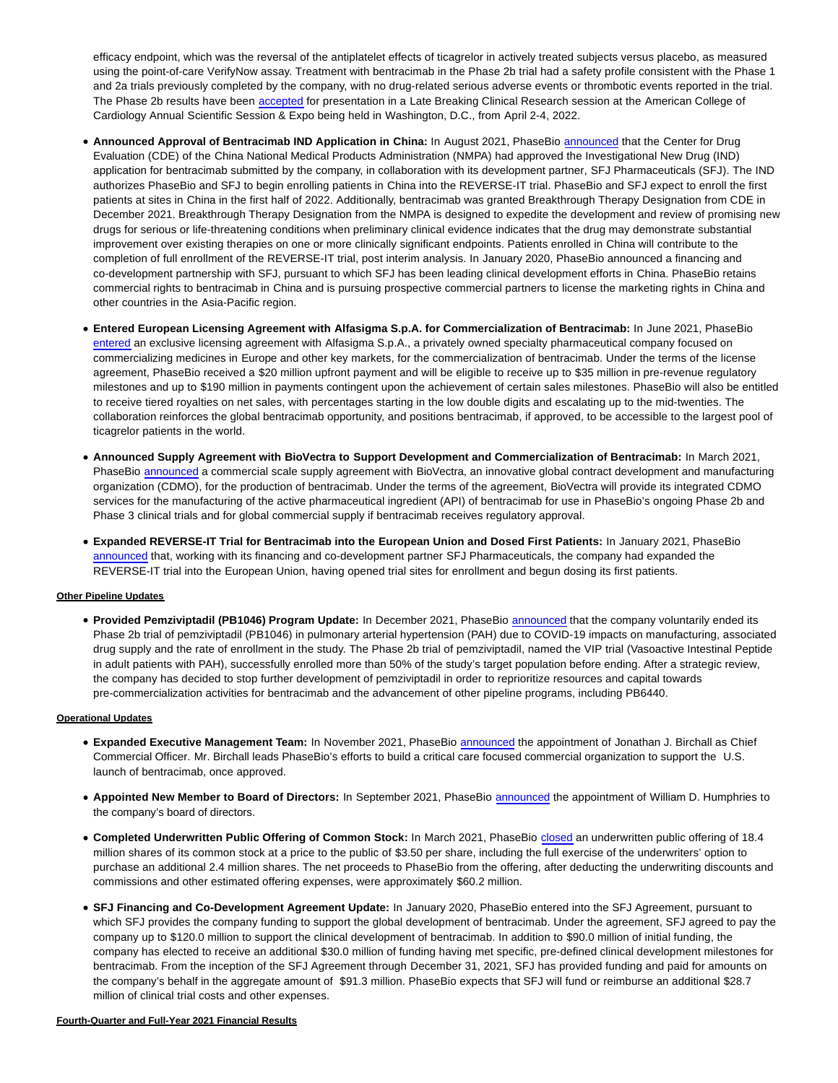efficacy endpoint, which was the reversal of the antiplatelet effects of ticagrelor in actively treated subjects versus placebo, as measured using the point-of-care VerifyNow assay. Treatment with bentracimab in the Phase 2b trial had a safety profile consistent with the Phase 1 and 2a trials previously completed by the company, with no drug-related serious adverse events or thrombotic events reported in the trial. The Phase 2b results have been [accepted](https://cts.businesswire.com/ct/CT?id=smartlink&url=https%3A%2F%2Finvestors.phasebio.com%2Fnews-releases%2Fnews-release-details%2Fphasebio-announces-bentracimab-phase-2b-trial-data-accepted-late&esheet=52621649&newsitemid=20220324005879&lan=en-US&anchor=accepted&index=7&md5=325a202291d866d814e5320ba0384145) for presentation in a Late Breaking Clinical Research session at the American College of Cardiology Annual Scientific Session & Expo being held in Washington, D.C., from April 2-4, 2022.

- **Announced Approval of Bentracimab IND Application in China:** In August 2021, PhaseBio [announced t](https://cts.businesswire.com/ct/CT?id=smartlink&url=https%3A%2F%2Finvestors.phasebio.com%2Fnews-releases%2Fnews-release-details%2Fphasebio-pharmaceuticals-and-sfj-pharmaceuticalsr-announce&esheet=52621649&newsitemid=20220324005879&lan=en-US&anchor=announced&index=8&md5=5cfb2d5ad9fc335b395753b84a8d6d39)hat the Center for Drug Evaluation (CDE) of the China National Medical Products Administration (NMPA) had approved the Investigational New Drug (IND) application for bentracimab submitted by the company, in collaboration with its development partner, SFJ Pharmaceuticals (SFJ). The IND authorizes PhaseBio and SFJ to begin enrolling patients in China into the REVERSE-IT trial. PhaseBio and SFJ expect to enroll the first patients at sites in China in the first half of 2022. Additionally, bentracimab was granted Breakthrough Therapy Designation from CDE in December 2021. Breakthrough Therapy Designation from the NMPA is designed to expedite the development and review of promising new drugs for serious or life-threatening conditions when preliminary clinical evidence indicates that the drug may demonstrate substantial improvement over existing therapies on one or more clinically significant endpoints. Patients enrolled in China will contribute to the completion of full enrollment of the REVERSE-IT trial, post interim analysis. In January 2020, PhaseBio announced a financing and co-development partnership with SFJ, pursuant to which SFJ has been leading clinical development efforts in China. PhaseBio retains commercial rights to bentracimab in China and is pursuing prospective commercial partners to license the marketing rights in China and other countries in the Asia-Pacific region.
- **Entered European Licensing Agreement with Alfasigma S.p.A. for Commercialization of Bentracimab:** In June 2021, PhaseBio [entered a](https://cts.businesswire.com/ct/CT?id=smartlink&url=https%3A%2F%2Finvestors.phasebio.com%2Fnews-releases%2Fnews-release-details%2Fphasebio-announces-european-licensing-agreement-alfasigma-spa&esheet=52621649&newsitemid=20220324005879&lan=en-US&anchor=entered&index=9&md5=513684e2ca328525839fbb2a0e05f780)n exclusive licensing agreement with Alfasigma S.p.A., a privately owned specialty pharmaceutical company focused on commercializing medicines in Europe and other key markets, for the commercialization of bentracimab. Under the terms of the license agreement, PhaseBio received a \$20 million upfront payment and will be eligible to receive up to \$35 million in pre-revenue regulatory milestones and up to \$190 million in payments contingent upon the achievement of certain sales milestones. PhaseBio will also be entitled to receive tiered royalties on net sales, with percentages starting in the low double digits and escalating up to the mid-twenties. The collaboration reinforces the global bentracimab opportunity, and positions bentracimab, if approved, to be accessible to the largest pool of ticagrelor patients in the world.
- **Announced Supply Agreement with BioVectra to Support Development and Commercialization of Bentracimab:** In March 2021, PhaseBio [announced a](https://cts.businesswire.com/ct/CT?id=smartlink&url=https%3A%2F%2Finvestors.phasebio.com%2Fnews-releases%2Fnews-release-details%2Fphasebio-pharmaceuticals-and-biovectra-enter-supply-agreement&esheet=52621649&newsitemid=20220324005879&lan=en-US&anchor=announced&index=10&md5=43dea5f171627ddf303b89c453b8bd32) commercial scale supply agreement with BioVectra, an innovative global contract development and manufacturing organization (CDMO), for the production of bentracimab. Under the terms of the agreement, BioVectra will provide its integrated CDMO services for the manufacturing of the active pharmaceutical ingredient (API) of bentracimab for use in PhaseBio's ongoing Phase 2b and Phase 3 clinical trials and for global commercial supply if bentracimab receives regulatory approval.
- **Expanded REVERSE-IT Trial for Bentracimab into the European Union and Dosed First Patients:** In January 2021, PhaseBio [announced t](https://cts.businesswire.com/ct/CT?id=smartlink&url=https%3A%2F%2Finvestors.phasebio.com%2Fnews-releases%2Fnews-release-details%2Fphasebio-announces-dosing-first-patient-european-union-part&esheet=52621649&newsitemid=20220324005879&lan=en-US&anchor=announced&index=11&md5=4a4a8f7bd7009b3508c4c3c02dd68bdf)hat, working with its financing and co-development partner SFJ Pharmaceuticals, the company had expanded the REVERSE-IT trial into the European Union, having opened trial sites for enrollment and begun dosing its first patients.

#### **Other Pipeline Updates**

**Provided Pemziviptadil (PB1046) Program Update:** In December 2021, PhaseBio [announced t](https://cts.businesswire.com/ct/CT?id=smartlink&url=https%3A%2F%2Finvestors.phasebio.com%2Fnews-releases%2Fnews-release-details%2Fphasebio-provides-pemziviptadil-pb1046-program-update-0&esheet=52621649&newsitemid=20220324005879&lan=en-US&anchor=announced&index=12&md5=72b16ea5d2f544b2251caca6c05e4e59)hat the company voluntarily ended its Phase 2b trial of pemziviptadil (PB1046) in pulmonary arterial hypertension (PAH) due to COVID-19 impacts on manufacturing, associated drug supply and the rate of enrollment in the study. The Phase 2b trial of pemziviptadil, named the VIP trial (Vasoactive Intestinal Peptide in adult patients with PAH), successfully enrolled more than 50% of the study's target population before ending. After a strategic review, the company has decided to stop further development of pemziviptadil in order to reprioritize resources and capital towards pre-commercialization activities for bentracimab and the advancement of other pipeline programs, including PB6440.

#### **Operational Updates**

- **Expanded Executive Management Team:** In November 2021, PhaseBio [announced t](https://cts.businesswire.com/ct/CT?id=smartlink&url=https%3A%2F%2Finvestors.phasebio.com%2Fnews-releases%2Fnews-release-details%2Fphasebio-names-jonathan-birchall-chief-commercial-officer&esheet=52621649&newsitemid=20220324005879&lan=en-US&anchor=announced&index=13&md5=d57f5ba9dd010357db8bfa4795d74de5)he appointment of Jonathan J. Birchall as Chief Commercial Officer. Mr. Birchall leads PhaseBio's efforts to build a critical care focused commercial organization to support the U.S. launch of bentracimab, once approved.
- **Appointed New Member to Board of Directors:** In September 2021, PhaseBio [announced t](https://cts.businesswire.com/ct/CT?id=smartlink&url=https%3A%2F%2Finvestors.phasebio.com%2Fnews-releases%2Fnews-release-details%2Fphasebio-appoints-william-d-humphries-board-directors&esheet=52621649&newsitemid=20220324005879&lan=en-US&anchor=announced&index=14&md5=aea92a353a892aed2da7e2a77e6cbc0f)he appointment of William D. Humphries to the company's board of directors.
- **Completed Underwritten Public Offering of Common Stock:** In March 2021, PhaseBio [closed a](https://cts.businesswire.com/ct/CT?id=smartlink&url=https%3A%2F%2Finvestors.phasebio.com%2Fnews-releases%2Fnews-release-details%2Fphasebio-announces-closing-public-offering-common-stock-and-0&esheet=52621649&newsitemid=20220324005879&lan=en-US&anchor=closed&index=15&md5=c47ab9d174a59ede8cd1d0350c508b5b)n underwritten public offering of 18.4 million shares of its common stock at a price to the public of \$3.50 per share, including the full exercise of the underwriters' option to purchase an additional 2.4 million shares. The net proceeds to PhaseBio from the offering, after deducting the underwriting discounts and commissions and other estimated offering expenses, were approximately \$60.2 million.
- **SFJ Financing and Co-Development Agreement Update:** In January 2020, PhaseBio entered into the SFJ Agreement, pursuant to which SFJ provides the company funding to support the global development of bentracimab. Under the agreement, SFJ agreed to pay the company up to \$120.0 million to support the clinical development of bentracimab. In addition to \$90.0 million of initial funding, the company has elected to receive an additional \$30.0 million of funding having met specific, pre-defined clinical development milestones for bentracimab. From the inception of the SFJ Agreement through December 31, 2021, SFJ has provided funding and paid for amounts on the company's behalf in the aggregate amount of \$91.3 million. PhaseBio expects that SFJ will fund or reimburse an additional \$28.7 million of clinical trial costs and other expenses.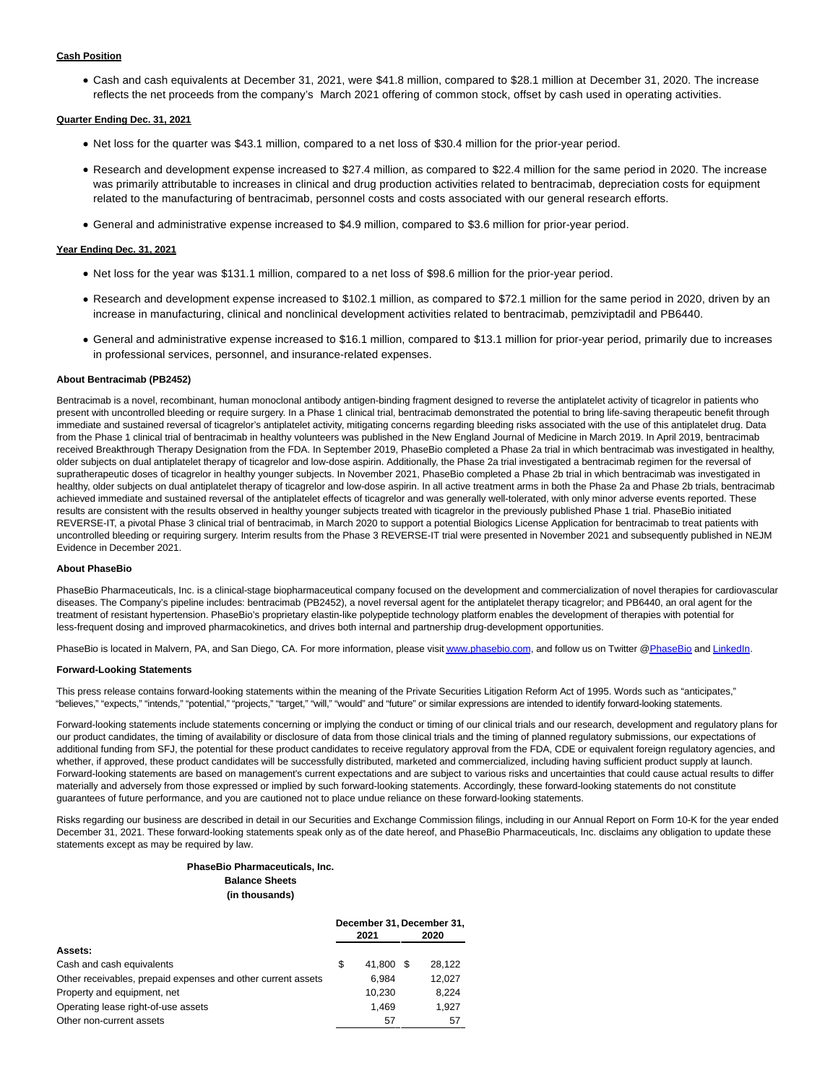#### **Cash Position**

Cash and cash equivalents at December 31, 2021, were \$41.8 million, compared to \$28.1 million at December 31, 2020. The increase reflects the net proceeds from the company's March 2021 offering of common stock, offset by cash used in operating activities.

#### **Quarter Ending Dec. 31, 2021**

- Net loss for the quarter was \$43.1 million, compared to a net loss of \$30.4 million for the prior-year period.
- Research and development expense increased to \$27.4 million, as compared to \$22.4 million for the same period in 2020. The increase was primarily attributable to increases in clinical and drug production activities related to bentracimab, depreciation costs for equipment related to the manufacturing of bentracimab, personnel costs and costs associated with our general research efforts.
- General and administrative expense increased to \$4.9 million, compared to \$3.6 million for prior-year period.

#### **Year Ending Dec. 31, 2021**

- Net loss for the year was \$131.1 million, compared to a net loss of \$98.6 million for the prior-year period.
- Research and development expense increased to \$102.1 million, as compared to \$72.1 million for the same period in 2020, driven by an increase in manufacturing, clinical and nonclinical development activities related to bentracimab, pemziviptadil and PB6440.
- General and administrative expense increased to \$16.1 million, compared to \$13.1 million for prior-year period, primarily due to increases in professional services, personnel, and insurance-related expenses.

#### **About Bentracimab (PB2452)**

Bentracimab is a novel, recombinant, human monoclonal antibody antigen-binding fragment designed to reverse the antiplatelet activity of ticagrelor in patients who present with uncontrolled bleeding or require surgery. In a Phase 1 clinical trial, bentracimab demonstrated the potential to bring life-saving therapeutic benefit through immediate and sustained reversal of ticagrelor's antiplatelet activity, mitigating concerns regarding bleeding risks associated with the use of this antiplatelet drug. Data from the Phase 1 clinical trial of bentracimab in healthy volunteers was published in the New England Journal of Medicine in March 2019. In April 2019, bentracimab received Breakthrough Therapy Designation from the FDA. In September 2019, PhaseBio completed a Phase 2a trial in which bentracimab was investigated in healthy, older subjects on dual antiplatelet therapy of ticagrelor and low-dose aspirin. Additionally, the Phase 2a trial investigated a bentracimab regimen for the reversal of supratherapeutic doses of ticagrelor in healthy younger subjects. In November 2021, PhaseBio completed a Phase 2b trial in which bentracimab was investigated in healthy, older subjects on dual antiplatelet therapy of ticagrelor and low-dose aspirin. In all active treatment arms in both the Phase 2a and Phase 2b trials, bentracimab achieved immediate and sustained reversal of the antiplatelet effects of ticagrelor and was generally well-tolerated, with only minor adverse events reported. These results are consistent with the results observed in healthy younger subjects treated with ticagrelor in the previously published Phase 1 trial. PhaseBio initiated REVERSE-IT, a pivotal Phase 3 clinical trial of bentracimab, in March 2020 to support a potential Biologics License Application for bentracimab to treat patients with uncontrolled bleeding or requiring surgery. Interim results from the Phase 3 REVERSE-IT trial were presented in November 2021 and subsequently published in NEJM Evidence in December 2021.

#### **About PhaseBio**

PhaseBio Pharmaceuticals, Inc. is a clinical-stage biopharmaceutical company focused on the development and commercialization of novel therapies for cardiovascular diseases. The Company's pipeline includes: bentracimab (PB2452), a novel reversal agent for the antiplatelet therapy ticagrelor; and PB6440, an oral agent for the treatment of resistant hypertension. PhaseBio's proprietary elastin-like polypeptide technology platform enables the development of therapies with potential for less-frequent dosing and improved pharmacokinetics, and drives both internal and partnership drug-development opportunities.

PhaseBio is located in Malvern, PA, and San Diego, CA. For more information, please visit [www.phasebio.com,](https://cts.businesswire.com/ct/CT?id=smartlink&url=http%3A%2F%2Fwww.phasebio.com&esheet=52621649&newsitemid=20220324005879&lan=en-US&anchor=www.phasebio.com&index=16&md5=69d3e607a7e1616fe498eca473424eda) and follow us on Twitter [@PhaseBio a](https://cts.businesswire.com/ct/CT?id=smartlink&url=https%3A%2F%2Ftwitter.com%2FPhaseBio&esheet=52621649&newsitemid=20220324005879&lan=en-US&anchor=PhaseBio&index=17&md5=79d75f9888a6f6c5eb81282ae9188123)n[d LinkedIn.](https://cts.businesswire.com/ct/CT?id=smartlink&url=https%3A%2F%2Fwww.linkedin.com%2Fcompany%2Fphasebio-pharmaceuticals%2F&esheet=52621649&newsitemid=20220324005879&lan=en-US&anchor=LinkedIn&index=18&md5=dad842cb2a8da9060e94902f19e02bec)

#### **Forward-Looking Statements**

This press release contains forward-looking statements within the meaning of the Private Securities Litigation Reform Act of 1995. Words such as "anticipates," "believes," "expects," "intends," "potential," "projects," "target," "will," "would" and "future" or similar expressions are intended to identify forward-looking statements.

Forward-looking statements include statements concerning or implying the conduct or timing of our clinical trials and our research, development and regulatory plans for our product candidates, the timing of availability or disclosure of data from those clinical trials and the timing of planned regulatory submissions, our expectations of additional funding from SFJ, the potential for these product candidates to receive regulatory approval from the FDA, CDE or equivalent foreign regulatory agencies, and whether, if approved, these product candidates will be successfully distributed, marketed and commercialized, including having sufficient product supply at launch. Forward-looking statements are based on management's current expectations and are subject to various risks and uncertainties that could cause actual results to differ materially and adversely from those expressed or implied by such forward-looking statements. Accordingly, these forward-looking statements do not constitute guarantees of future performance, and you are cautioned not to place undue reliance on these forward-looking statements.

Risks regarding our business are described in detail in our Securities and Exchange Commission filings, including in our Annual Report on Form 10-K for the year ended December 31, 2021. These forward-looking statements speak only as of the date hereof, and PhaseBio Pharmaceuticals, Inc. disclaims any obligation to update these statements except as may be required by law.

# **PhaseBio Pharmaceuticals, Inc.**

# **Balance Sheets**

**(in thousands)**

|                                                              |   |        | December 31, December 31, |        |  |
|--------------------------------------------------------------|---|--------|---------------------------|--------|--|
|                                                              |   | 2021   |                           | 2020   |  |
| Assets:                                                      |   |        |                           |        |  |
| Cash and cash equivalents                                    | S | 41.800 | - \$                      | 28.122 |  |
| Other receivables, prepaid expenses and other current assets |   | 6.984  |                           | 12,027 |  |
| Property and equipment, net                                  |   | 10.230 |                           | 8.224  |  |
| Operating lease right-of-use assets                          |   | 1.469  |                           | 1.927  |  |
| Other non-current assets                                     |   | 57     |                           | 57     |  |